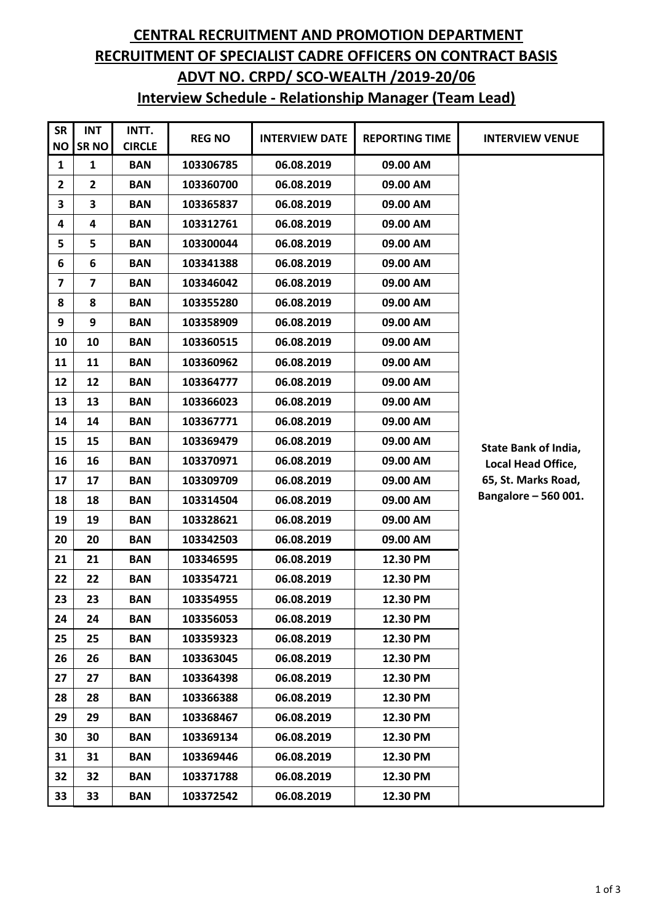## **CENTRAL RECRUITMENT AND PROMOTION DEPARTMENT RECRUITMENT OF SPECIALIST CADRE OFFICERS ON CONTRACT BASIS ADVT NO. CRPD/ SCO-WEALTH /2019-20/06 Interview Schedule - Relationship Manager (Team Lead)**

| <b>SR</b><br><b>NO</b> | <b>INT</b><br><b>SRNO</b> | INTT.<br><b>CIRCLE</b> | <b>REG NO</b> | <b>INTERVIEW DATE</b> | <b>REPORTING TIME</b> | <b>INTERVIEW VENUE</b>                    |
|------------------------|---------------------------|------------------------|---------------|-----------------------|-----------------------|-------------------------------------------|
| 1                      | 1                         | <b>BAN</b>             | 103306785     | 06.08.2019            | 09.00 AM              |                                           |
| 2                      | $\mathbf{2}$              | <b>BAN</b>             | 103360700     | 06.08.2019            | 09.00 AM              |                                           |
| 3                      | 3                         | <b>BAN</b>             | 103365837     | 06.08.2019            | 09.00 AM              |                                           |
| 4                      | 4                         | <b>BAN</b>             | 103312761     | 06.08.2019            | 09.00 AM              |                                           |
| 5                      | 5                         | <b>BAN</b>             | 103300044     | 06.08.2019            | 09.00 AM              |                                           |
| 6                      | 6                         | <b>BAN</b>             | 103341388     | 06.08.2019            | 09.00 AM              |                                           |
| 7                      | 7                         | <b>BAN</b>             | 103346042     | 06.08.2019            | 09.00 AM              |                                           |
| 8                      | 8                         | <b>BAN</b>             | 103355280     | 06.08.2019            | 09.00 AM              |                                           |
| 9                      | 9                         | <b>BAN</b>             | 103358909     | 06.08.2019            | 09.00 AM              |                                           |
| 10                     | 10                        | <b>BAN</b>             | 103360515     | 06.08.2019            | 09.00 AM              |                                           |
| 11                     | 11                        | <b>BAN</b>             | 103360962     | 06.08.2019            | 09.00 AM              |                                           |
| 12                     | 12                        | <b>BAN</b>             | 103364777     | 06.08.2019            | 09.00 AM              |                                           |
| 13                     | 13                        | <b>BAN</b>             | 103366023     | 06.08.2019            | 09.00 AM              |                                           |
| 14                     | 14                        | <b>BAN</b>             | 103367771     | 06.08.2019            | 09.00 AM              |                                           |
| 15                     | 15                        | <b>BAN</b>             | 103369479     | 06.08.2019            | 09.00 AM              | <b>State Bank of India,</b>               |
| 16                     | 16                        | <b>BAN</b>             | 103370971     | 06.08.2019            | 09.00 AM              | Local Head Office,<br>65, St. Marks Road, |
| 17                     | 17                        | <b>BAN</b>             | 103309709     | 06.08.2019            | 09.00 AM              |                                           |
| 18                     | 18                        | <b>BAN</b>             | 103314504     | 06.08.2019            | 09.00 AM              | Bangalore - 560 001.                      |
| 19                     | 19                        | <b>BAN</b>             | 103328621     | 06.08.2019            | 09.00 AM              |                                           |
| 20                     | 20                        | <b>BAN</b>             | 103342503     | 06.08.2019            | 09.00 AM              |                                           |
| 21                     | 21                        | <b>BAN</b>             | 103346595     | 06.08.2019            | 12.30 PM              |                                           |
| 22                     | 22                        | <b>BAN</b>             | 103354721     | 06.08.2019            | 12.30 PM              |                                           |
| 23                     | 23                        | <b>BAN</b>             | 103354955     | 06.08.2019            | 12.30 PM              |                                           |
| 24                     | 24                        | <b>BAN</b>             | 103356053     | 06.08.2019            | 12.30 PM              |                                           |
| 25                     | 25                        | <b>BAN</b>             | 103359323     | 06.08.2019            | 12.30 PM              |                                           |
| 26                     | 26                        | <b>BAN</b>             | 103363045     | 06.08.2019            | 12.30 PM              |                                           |
| 27                     | 27                        | <b>BAN</b>             | 103364398     | 06.08.2019            | 12.30 PM              |                                           |
| 28                     | 28                        | <b>BAN</b>             | 103366388     | 06.08.2019            | 12.30 PM              |                                           |
| 29                     | 29                        | <b>BAN</b>             | 103368467     | 06.08.2019            | 12.30 PM              |                                           |
| 30                     | 30                        | <b>BAN</b>             | 103369134     | 06.08.2019            | 12.30 PM              |                                           |
| 31                     | 31                        | <b>BAN</b>             | 103369446     | 06.08.2019            | 12.30 PM              |                                           |
| 32                     | 32                        | <b>BAN</b>             | 103371788     | 06.08.2019            | 12.30 PM              |                                           |
| 33                     | 33                        | <b>BAN</b>             | 103372542     | 06.08.2019            | 12.30 PM              |                                           |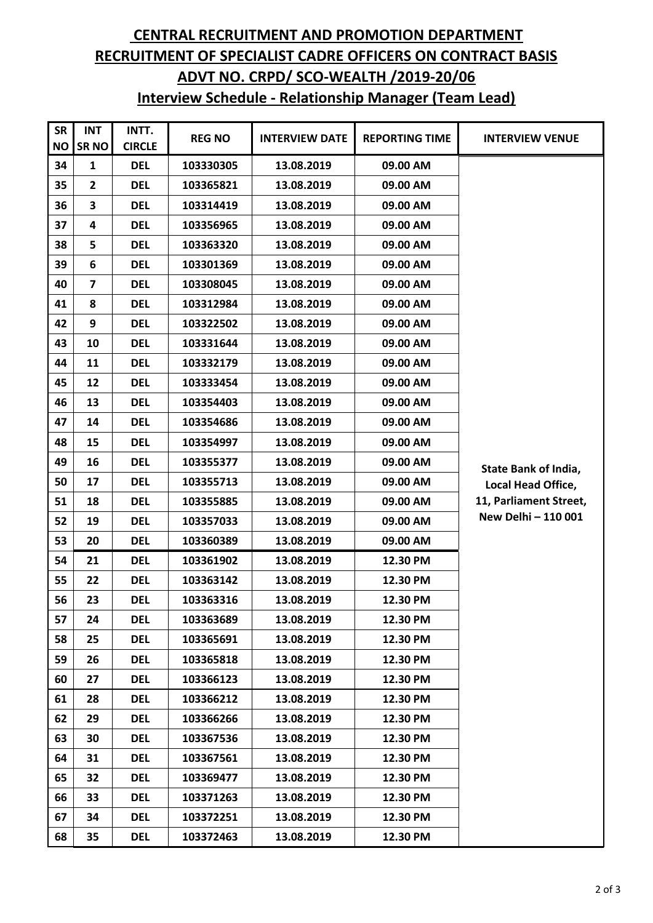## **CENTRAL RECRUITMENT AND PROMOTION DEPARTMENT RECRUITMENT OF SPECIALIST CADRE OFFICERS ON CONTRACT BASIS ADVT NO. CRPD/ SCO-WEALTH /2019-20/06 Interview Schedule - Relationship Manager (Team Lead)**

| <b>SR</b><br><b>NO</b> | <b>INT</b><br>SR <sub>NO</sub> | INTT.<br><b>CIRCLE</b> | <b>REG NO</b> | <b>INTERVIEW DATE</b> | <b>REPORTING TIME</b> | <b>INTERVIEW VENUE</b> |
|------------------------|--------------------------------|------------------------|---------------|-----------------------|-----------------------|------------------------|
| 34                     | $\mathbf{1}$                   | <b>DEL</b>             | 103330305     | 13.08.2019            | 09.00 AM              |                        |
| 35                     | $\overline{2}$                 | <b>DEL</b>             | 103365821     | 13.08.2019            | 09.00 AM              |                        |
| 36                     | 3                              | <b>DEL</b>             | 103314419     | 13.08.2019            | 09.00 AM              |                        |
| 37                     | 4                              | <b>DEL</b>             | 103356965     | 13.08.2019            | 09.00 AM              |                        |
| 38                     | 5                              | <b>DEL</b>             | 103363320     | 13.08.2019            | 09.00 AM              |                        |
| 39                     | 6                              | <b>DEL</b>             | 103301369     | 13.08.2019            | 09.00 AM              |                        |
| 40                     | $\overline{\mathbf{z}}$        | <b>DEL</b>             | 103308045     | 13.08.2019            | 09.00 AM              |                        |
| 41                     | 8                              | <b>DEL</b>             | 103312984     | 13.08.2019            | 09.00 AM              |                        |
| 42                     | 9                              | <b>DEL</b>             | 103322502     | 13.08.2019            | 09.00 AM              |                        |
| 43                     | 10                             | <b>DEL</b>             | 103331644     | 13.08.2019            | 09.00 AM              |                        |
| 44                     | 11                             | <b>DEL</b>             | 103332179     | 13.08.2019            | 09.00 AM              |                        |
| 45                     | 12                             | <b>DEL</b>             | 103333454     | 13.08.2019            | 09.00 AM              |                        |
| 46                     | 13                             | <b>DEL</b>             | 103354403     | 13.08.2019            | 09.00 AM              |                        |
| 47                     | 14                             | <b>DEL</b>             | 103354686     | 13.08.2019            | 09.00 AM              |                        |
| 48                     | 15                             | <b>DEL</b>             | 103354997     | 13.08.2019            | 09.00 AM              |                        |
| 49                     | 16                             | <b>DEL</b>             | 103355377     | 13.08.2019            | 09.00 AM              | State Bank of India,   |
| 50                     | 17                             | <b>DEL</b>             | 103355713     | 13.08.2019            | 09.00 AM              | Local Head Office,     |
| 51                     | 18                             | <b>DEL</b>             | 103355885     | 13.08.2019            | 09.00 AM              | 11, Parliament Street, |
| 52                     | 19                             | <b>DEL</b>             | 103357033     | 13.08.2019            | 09.00 AM              | New Delhi - 110 001    |
| 53                     | 20                             | <b>DEL</b>             | 103360389     | 13.08.2019            | 09.00 AM              |                        |
| 54                     | 21                             | <b>DEL</b>             | 103361902     | 13.08.2019            | 12.30 PM              |                        |
| 55                     | 22                             | <b>DEL</b>             | 103363142     | 13.08.2019            | 12.30 PM              |                        |
| 56                     | 23                             | <b>DEL</b>             | 103363316     | 13.08.2019            | 12.30 PM              |                        |
| 57                     | 24                             | <b>DEL</b>             | 103363689     | 13.08.2019            | 12.30 PM              |                        |
| 58                     | 25                             | <b>DEL</b>             | 103365691     | 13.08.2019            | 12.30 PM              |                        |
| 59                     | 26                             | <b>DEL</b>             | 103365818     | 13.08.2019            | 12.30 PM              |                        |
| 60                     | 27                             | <b>DEL</b>             | 103366123     | 13.08.2019            | 12.30 PM              |                        |
| 61                     | 28                             | <b>DEL</b>             | 103366212     | 13.08.2019            | 12.30 PM              |                        |
| 62                     | 29                             | <b>DEL</b>             | 103366266     | 13.08.2019            | 12.30 PM              |                        |
| 63                     | 30                             | <b>DEL</b>             | 103367536     | 13.08.2019            | 12.30 PM              |                        |
| 64                     | 31                             | <b>DEL</b>             | 103367561     | 13.08.2019            | 12.30 PM              |                        |
| 65                     | 32                             | <b>DEL</b>             | 103369477     | 13.08.2019            | 12.30 PM              |                        |
| 66                     | 33                             | <b>DEL</b>             | 103371263     | 13.08.2019            | 12.30 PM              |                        |
| 67                     | 34                             | <b>DEL</b>             | 103372251     | 13.08.2019            | 12.30 PM              |                        |
| 68                     | 35                             | <b>DEL</b>             | 103372463     | 13.08.2019            | 12.30 PM              |                        |